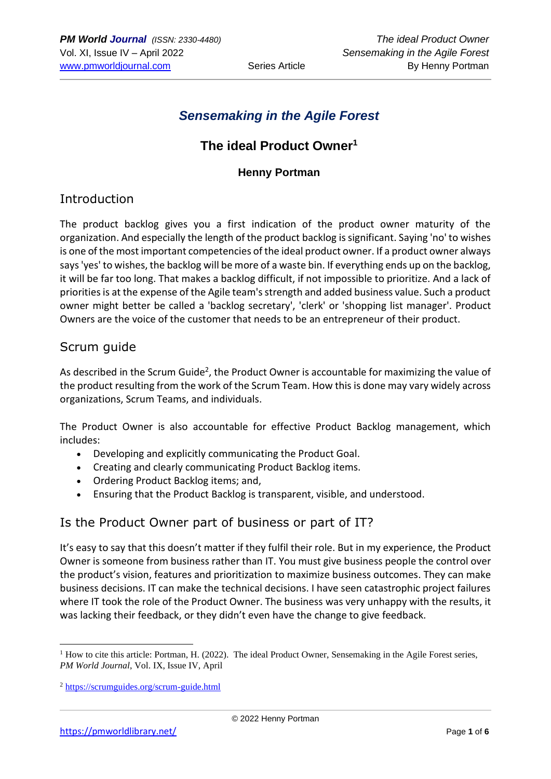# *Sensemaking in the Agile Forest*

# **The ideal Product Owner<sup>1</sup>**

#### **Henny Portman**

#### Introduction

The product backlog gives you a first indication of the product owner maturity of the organization. And especially the length of the product backlog is significant. Saying 'no' to wishes is one of the most important competencies of the ideal product owner. If a product owner always says 'yes' to wishes, the backlog will be more of a waste bin. If everything ends up on the backlog, it will be far too long. That makes a backlog difficult, if not impossible to prioritize. And a lack of priorities is at the expense of the Agile team's strength and added business value. Such a product owner might better be called a 'backlog secretary', 'clerk' or 'shopping list manager'. Product Owners are the voice of the customer that needs to be an entrepreneur of their product.

#### Scrum guide

As described in the Scrum Guide<sup>2</sup>, the Product Owner is accountable for maximizing the value of the product resulting from the work of the Scrum Team. How this is done may vary widely across organizations, Scrum Teams, and individuals.

The Product Owner is also accountable for effective Product Backlog management, which includes:

- Developing and explicitly communicating the Product Goal.
- Creating and clearly communicating Product Backlog items.
- Ordering Product Backlog items; and,
- Ensuring that the Product Backlog is transparent, visible, and understood.

## Is the Product Owner part of business or part of IT?

It's easy to say that this doesn't matter if they fulfil their role. But in my experience, the Product Owner is someone from business rather than IT. You must give business people the control over the product's vision, features and prioritization to maximize business outcomes. They can make business decisions. IT can make the technical decisions. I have seen catastrophic project failures where IT took the role of the Product Owner. The business was very unhappy with the results, it was lacking their feedback, or they didn't even have the change to give feedback.

 $1$  How to cite this article: Portman, H. (2022). The ideal Product Owner, Sensemaking in the Agile Forest series, *PM World Journal*, Vol. IX, Issue IV, April

<sup>2</sup> <https://scrumguides.org/scrum-guide.html>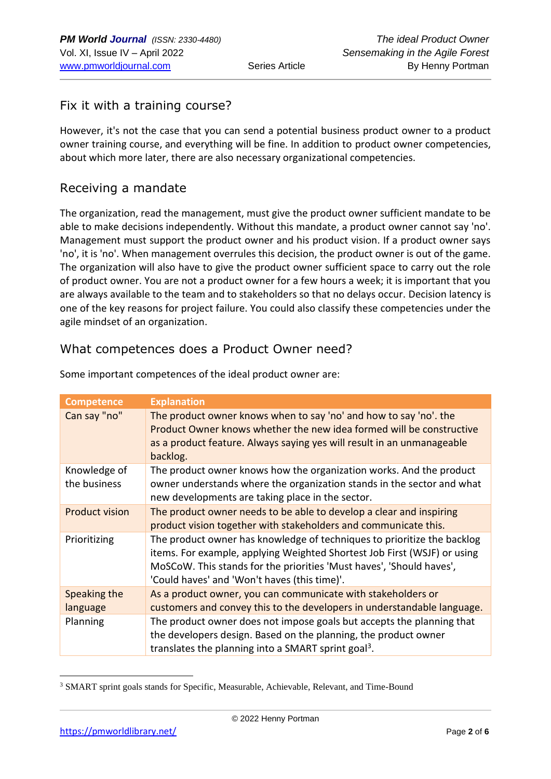## Fix it with a training course?

However, it's not the case that you can send a potential business product owner to a product owner training course, and everything will be fine. In addition to product owner competencies, about which more later, there are also necessary organizational competencies.

#### Receiving a mandate

The organization, read the management, must give the product owner sufficient mandate to be able to make decisions independently. Without this mandate, a product owner cannot say 'no'. Management must support the product owner and his product vision. If a product owner says 'no', it is 'no'. When management overrules this decision, the product owner is out of the game. The organization will also have to give the product owner sufficient space to carry out the role of product owner. You are not a product owner for a few hours a week; it is important that you are always available to the team and to stakeholders so that no delays occur. Decision latency is one of the key reasons for project failure. You could also classify these competencies under the agile mindset of an organization.

#### What competences does a Product Owner need?

| <b>Competence</b>            | <b>Explanation</b>                                                                                                                                                                                                                                                          |
|------------------------------|-----------------------------------------------------------------------------------------------------------------------------------------------------------------------------------------------------------------------------------------------------------------------------|
| Can say "no"                 | The product owner knows when to say 'no' and how to say 'no'. the<br>Product Owner knows whether the new idea formed will be constructive<br>as a product feature. Always saying yes will result in an unmanageable<br>backlog.                                             |
| Knowledge of<br>the business | The product owner knows how the organization works. And the product<br>owner understands where the organization stands in the sector and what<br>new developments are taking place in the sector.                                                                           |
| <b>Product vision</b>        | The product owner needs to be able to develop a clear and inspiring<br>product vision together with stakeholders and communicate this.                                                                                                                                      |
| Prioritizing                 | The product owner has knowledge of techniques to prioritize the backlog<br>items. For example, applying Weighted Shortest Job First (WSJF) or using<br>MoSCoW. This stands for the priorities 'Must haves', 'Should haves',<br>'Could haves' and 'Won't haves (this time)'. |
| Speaking the<br>language     | As a product owner, you can communicate with stakeholders or<br>customers and convey this to the developers in understandable language.                                                                                                                                     |
| Planning                     | The product owner does not impose goals but accepts the planning that<br>the developers design. Based on the planning, the product owner<br>translates the planning into a SMART sprint goal <sup>3</sup> .                                                                 |

Some important competences of the ideal product owner are:

<sup>&</sup>lt;sup>3</sup> SMART sprint goals stands for Specific, Measurable, Achievable, Relevant, and Time-Bound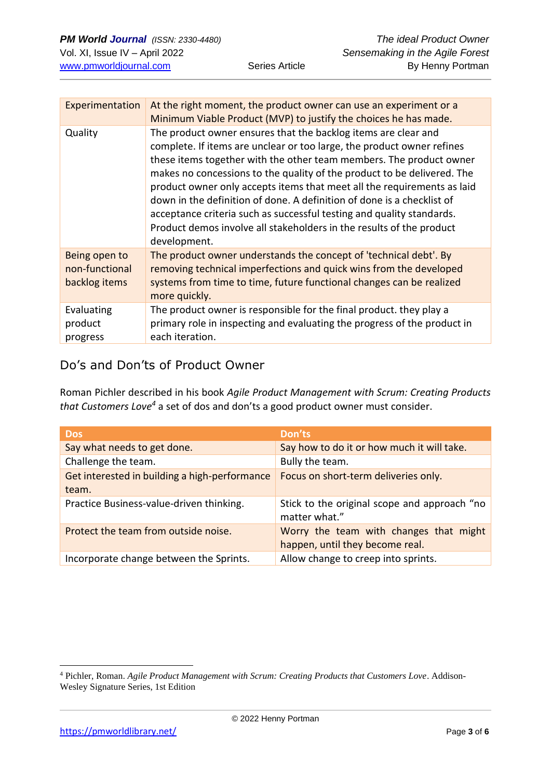| Experimentation                                  | At the right moment, the product owner can use an experiment or a<br>Minimum Viable Product (MVP) to justify the choices he has made.                                                                                                                                                                                                                                                                                                                                                                                                                                                                            |
|--------------------------------------------------|------------------------------------------------------------------------------------------------------------------------------------------------------------------------------------------------------------------------------------------------------------------------------------------------------------------------------------------------------------------------------------------------------------------------------------------------------------------------------------------------------------------------------------------------------------------------------------------------------------------|
| Quality                                          | The product owner ensures that the backlog items are clear and<br>complete. If items are unclear or too large, the product owner refines<br>these items together with the other team members. The product owner<br>makes no concessions to the quality of the product to be delivered. The<br>product owner only accepts items that meet all the requirements as laid<br>down in the definition of done. A definition of done is a checklist of<br>acceptance criteria such as successful testing and quality standards.<br>Product demos involve all stakeholders in the results of the product<br>development. |
| Being open to<br>non-functional<br>backlog items | The product owner understands the concept of 'technical debt'. By<br>removing technical imperfections and quick wins from the developed<br>systems from time to time, future functional changes can be realized<br>more quickly.                                                                                                                                                                                                                                                                                                                                                                                 |
| Evaluating<br>product<br>progress                | The product owner is responsible for the final product. they play a<br>primary role in inspecting and evaluating the progress of the product in<br>each iteration.                                                                                                                                                                                                                                                                                                                                                                                                                                               |

# Do's and Don'ts of Product Owner

Roman Pichler described in his book *Agile Product Management with Scrum: Creating Products that Customers Love<sup>4</sup>* a set of dos and don'ts a good product owner must consider.

| <b>Dos</b>                                    | Don'ts                                                                    |
|-----------------------------------------------|---------------------------------------------------------------------------|
| Say what needs to get done.                   | Say how to do it or how much it will take.                                |
| Challenge the team.                           | Bully the team.                                                           |
| Get interested in building a high-performance | Focus on short-term deliveries only.                                      |
| team.                                         |                                                                           |
| Practice Business-value-driven thinking.      | Stick to the original scope and approach "no<br>matter what."             |
| Protect the team from outside noise.          | Worry the team with changes that might<br>happen, until they become real. |
| Incorporate change between the Sprints.       | Allow change to creep into sprints.                                       |
|                                               |                                                                           |

<sup>4</sup> Pichler, Roman. *Agile Product Management with Scrum: Creating Products that Customers Love*. Addison-Wesley Signature Series, 1st Edition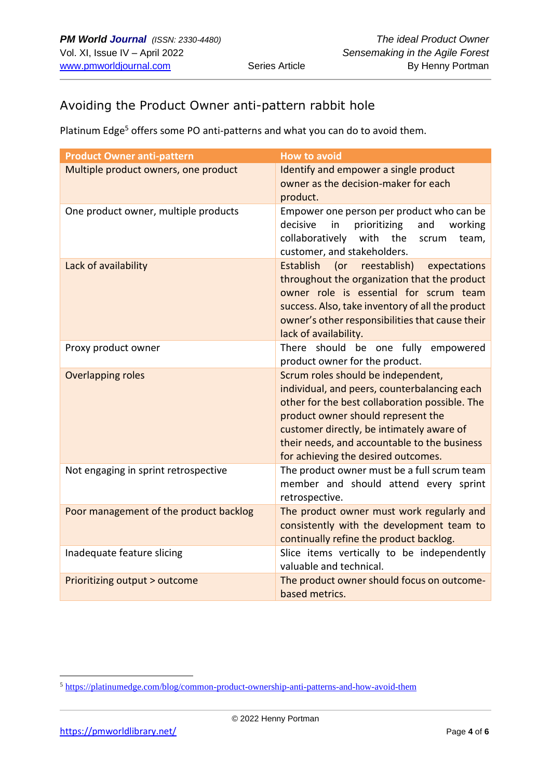## Avoiding the Product Owner anti-pattern rabbit hole

Platinum Edge<sup>5</sup> offers some PO anti-patterns and what you can do to avoid them.

| <b>Product Owner anti-pattern</b>      | <b>How to avoid</b>                                                                                                                                                                                                                                                                                            |
|----------------------------------------|----------------------------------------------------------------------------------------------------------------------------------------------------------------------------------------------------------------------------------------------------------------------------------------------------------------|
| Multiple product owners, one product   | Identify and empower a single product<br>owner as the decision-maker for each<br>product.                                                                                                                                                                                                                      |
| One product owner, multiple products   | Empower one person per product who can be<br>decisive<br>in<br>prioritizing<br>and<br>working<br>collaboratively<br>with<br>the<br>team,<br>scrum<br>customer, and stakeholders.                                                                                                                               |
| Lack of availability                   | Establish<br>(or reestablish)<br>expectations<br>throughout the organization that the product<br>owner role is essential for scrum team<br>success. Also, take inventory of all the product<br>owner's other responsibilities that cause their<br>lack of availability.                                        |
| Proxy product owner                    | There should be one fully empowered<br>product owner for the product.                                                                                                                                                                                                                                          |
| <b>Overlapping roles</b>               | Scrum roles should be independent,<br>individual, and peers, counterbalancing each<br>other for the best collaboration possible. The<br>product owner should represent the<br>customer directly, be intimately aware of<br>their needs, and accountable to the business<br>for achieving the desired outcomes. |
| Not engaging in sprint retrospective   | The product owner must be a full scrum team<br>member and should attend every sprint<br>retrospective.                                                                                                                                                                                                         |
| Poor management of the product backlog | The product owner must work regularly and<br>consistently with the development team to<br>continually refine the product backlog.                                                                                                                                                                              |
| Inadequate feature slicing             | Slice items vertically to be independently<br>valuable and technical.                                                                                                                                                                                                                                          |
| Prioritizing output > outcome          | The product owner should focus on outcome-<br>based metrics.                                                                                                                                                                                                                                                   |

<sup>5</sup> <https://platinumedge.com/blog/common-product-ownership-anti-patterns-and-how-avoid-them>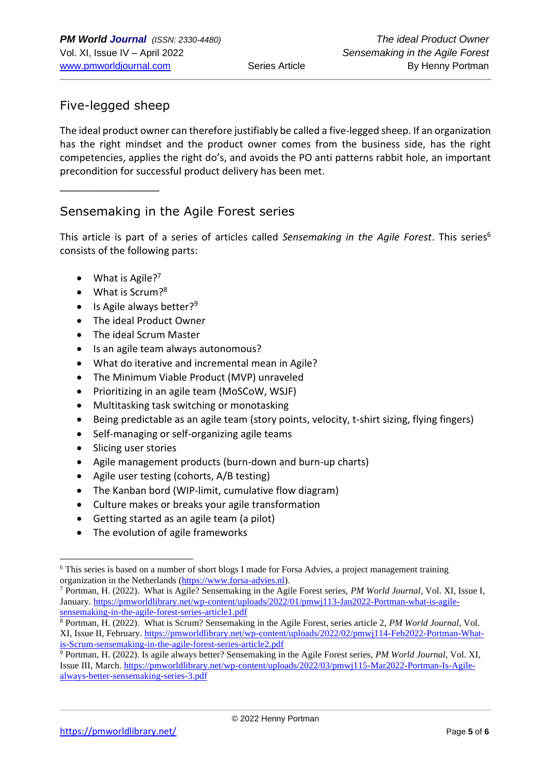## Five-legged sheep

The ideal product owner can therefore justifiably be called a five-legged sheep. If an organization has the right mindset and the product owner comes from the business side, has the right competencies, applies the right do's, and avoids the PO anti patterns rabbit hole, an important precondition for successful product delivery has been met.

 $\overline{\phantom{a}}$  , where  $\overline{\phantom{a}}$ 

#### Sensemaking in the Agile Forest series

This article is part of a series of articles called *Sensemaking in the Agile Forest*. This series<sup>6</sup> consists of the following parts:

- What is Agile?<sup>7</sup>
- What is Scrum?<sup>8</sup>
- Is Agile always better?<sup>9</sup>
- The ideal Product Owner
- The ideal Scrum Master
- Is an agile team always autonomous?
- What do iterative and incremental mean in Agile?
- The Minimum Viable Product (MVP) unraveled
- Prioritizing in an agile team (MoSCoW, WSJF)
- Multitasking task switching or monotasking
- Being predictable as an agile team (story points, velocity, t-shirt sizing, flying fingers)
- Self-managing or self-organizing agile teams
- Slicing user stories
- Agile management products (burn-down and burn-up charts)
- Agile user testing (cohorts, A/B testing)
- The Kanban bord (WIP-limit, cumulative flow diagram)
- Culture makes or breaks your agile transformation
- Getting started as an agile team (a pilot)
- The evolution of agile frameworks

<sup>6</sup> This series is based on a number of short blogs I made for Forsa Advies, a project management training organization in the Netherlands [\(https://www.forsa-advies.nl\)](https://www.forsa-advies.nl/).

<sup>7</sup> Portman, H. (2022). What is Agile? Sensemaking in the Agile Forest series, *PM World Journal*, Vol. XI, Issue I, January. [https://pmworldlibrary.net/wp-content/uploads/2022/01/pmwj113-Jan2022-Portman-what-is-agile](https://pmworldlibrary.net/wp-content/uploads/2022/01/pmwj113-Jan2022-Portman-what-is-agile-sensemaking-in-the-agile-forest-series-article1.pdf)[sensemaking-in-the-agile-forest-series-article1.pdf](https://pmworldlibrary.net/wp-content/uploads/2022/01/pmwj113-Jan2022-Portman-what-is-agile-sensemaking-in-the-agile-forest-series-article1.pdf)

<sup>8</sup> Portman, H. (2022). What is Scrum? Sensemaking in the Agile Forest, series article 2, *PM World Journal*, Vol. XI, Issue II, February. [https://pmworldlibrary.net/wp-content/uploads/2022/02/pmwj114-Feb2022-Portman-What](https://pmworldlibrary.net/wp-content/uploads/2022/02/pmwj114-Feb2022-Portman-What-is-Scrum-sensemaking-in-the-agile-forest-series-article2.pdf)[is-Scrum-sensemaking-in-the-agile-forest-series-article2.pdf](https://pmworldlibrary.net/wp-content/uploads/2022/02/pmwj114-Feb2022-Portman-What-is-Scrum-sensemaking-in-the-agile-forest-series-article2.pdf)

<sup>9</sup> Portman, H. (2022). Is agile always better? Sensemaking in the Agile Forest series, *PM World Journal*, Vol. XI, Issue III, March. [https://pmworldlibrary.net/wp-content/uploads/2022/03/pmwj115-Mar2022-Portman-Is-Agile](https://pmworldlibrary.net/wp-content/uploads/2022/03/pmwj115-Mar2022-Portman-Is-Agile-always-better-sensemaking-series-3.pdf)[always-better-sensemaking-series-3.pdf](https://pmworldlibrary.net/wp-content/uploads/2022/03/pmwj115-Mar2022-Portman-Is-Agile-always-better-sensemaking-series-3.pdf)